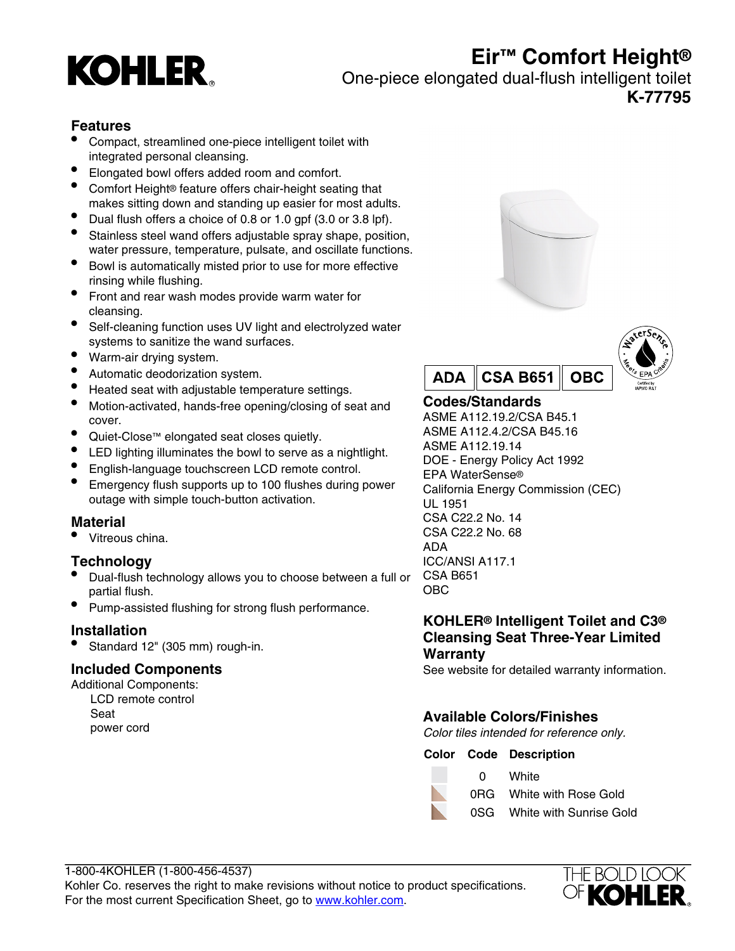

# **Eir™ Comfort Height®**

One-piece elongated dual-flush intelligent toilet

**K-77795**

# **Features**

- Compact, streamlined one-piece intelligent toilet with integrated personal cleansing.
- Elongated bowl offers added room and comfort.
- Comfort Height® feature offers chair-height seating that makes sitting down and standing up easier for most adults.
- Dual flush offers a choice of 0.8 or 1.0 gpf (3.0 or 3.8 lpf).
- Stainless steel wand offers adjustable spray shape, position, water pressure, temperature, pulsate, and oscillate functions.
- Bowl is automatically misted prior to use for more effective rinsing while flushing.
- Front and rear wash modes provide warm water for cleansing.
- Self-cleaning function uses UV light and electrolyzed water systems to sanitize the wand surfaces.
- Warm-air drying system.
- Automatic deodorization system.
- Heated seat with adjustable temperature settings.
- Motion-activated, hands-free opening/closing of seat and cover.
- Quiet-Close™ elongated seat closes quietly.
- LED lighting illuminates the bowl to serve as a nightlight.
- English-language touchscreen LCD remote control.
- Emergency flush supports up to 100 flushes during power outage with simple touch-button activation.

## **Material**

• Vitreous china.

# **Technology**

- Dual-flush technology allows you to choose between a full or partial flush.
- Pump-assisted flushing for strong flush performance.

## **Installation**

• Standard 12" (305 mm) rough-in.

## **Included Components**

Additional Components: LCD remote control Seat power cord





# **Codes/Standards**

ASME A112.19.2/CSA B45.1 ASME A112.4.2/CSA B45.16 ASME A112.19.14 DOE - Energy Policy Act 1992 EPA WaterSense® California Energy Commission (CEC) UL 1951 CSA C22.2 No. 14 CSA C22.2 No. 68 ADA ICC/ANSI A117.1 CSA B651 OBC

#### **KOHLER® Intelligent Toilet and C3® Cleansing Seat Three-Year Limited Warranty**

See website for detailed warranty information.

# **Available Colors/Finishes**

0 White

Color tiles intended for reference only.

#### **Color Code Description**

- 0RG White with Rose Gold
- 0SG White with Sunrise Gold